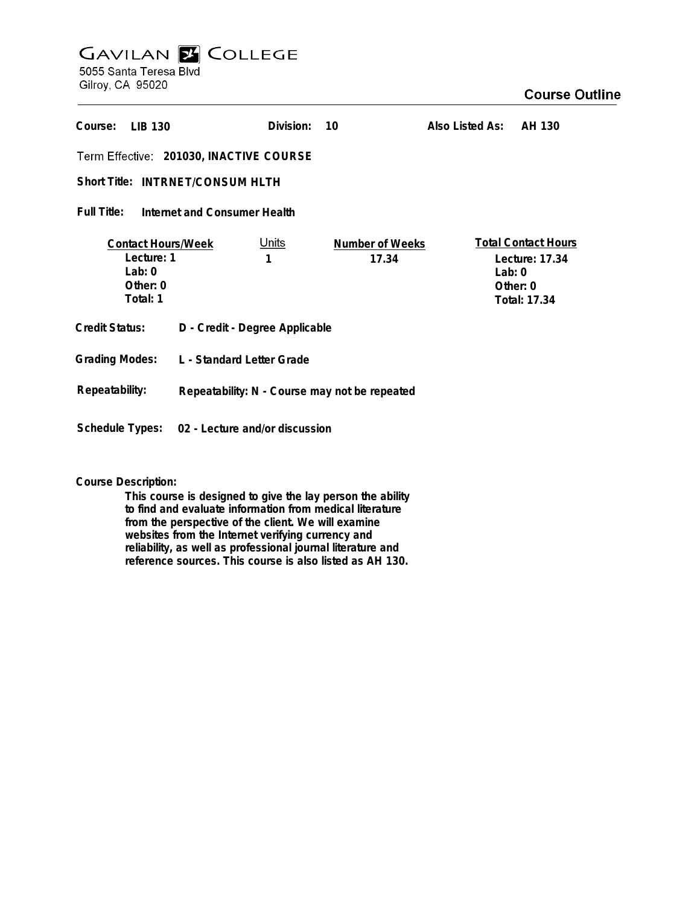## **GAVILAN Z COLLEGE** 5055 Santa Teresa Blvd

Gilroy, CA 95020

## **Course Outline**

| Course:<br><b>IIB 130</b>                                                   |                                                | Division:         | 10                              | Also Listed As: | AH 130                                                                               |
|-----------------------------------------------------------------------------|------------------------------------------------|-------------------|---------------------------------|-----------------|--------------------------------------------------------------------------------------|
| Term Effective: 201030, INACTIVE COURSE                                     |                                                |                   |                                 |                 |                                                                                      |
| Short Title: INTRNET/CONSUM HLTH                                            |                                                |                   |                                 |                 |                                                                                      |
| Full Title:<br>Internet and Consumer Health                                 |                                                |                   |                                 |                 |                                                                                      |
| <b>Contact Hours/Week</b><br>Lecture: 1<br>Lab: $0$<br>Other: 0<br>Total: 1 |                                                | <u>Units</u><br>1 | <b>Number of Weeks</b><br>17.34 |                 | <b>Total Contact Hours</b><br>Lecture: 17.34<br>Lab: $0$<br>Other: 0<br>Total: 17.34 |
| Credit Status:                                                              | D - Credit - Degree Applicable                 |                   |                                 |                 |                                                                                      |
| <b>Grading Modes:</b>                                                       | L - Standard Letter Grade                      |                   |                                 |                 |                                                                                      |
| Repeatability:                                                              | Repeatability: N - Course may not be repeated  |                   |                                 |                 |                                                                                      |
|                                                                             | Schedule Types: 02 - Lecture and/or discussion |                   |                                 |                 |                                                                                      |

## **Course Description:**

**This course is designed to give the lay person the ability to find and evaluate information from medical literature from the perspective of the client. We will examine websites from the Internet verifying currency and reliability, as well as professional journal literature and reference sources. This course is also listed as AH 130.**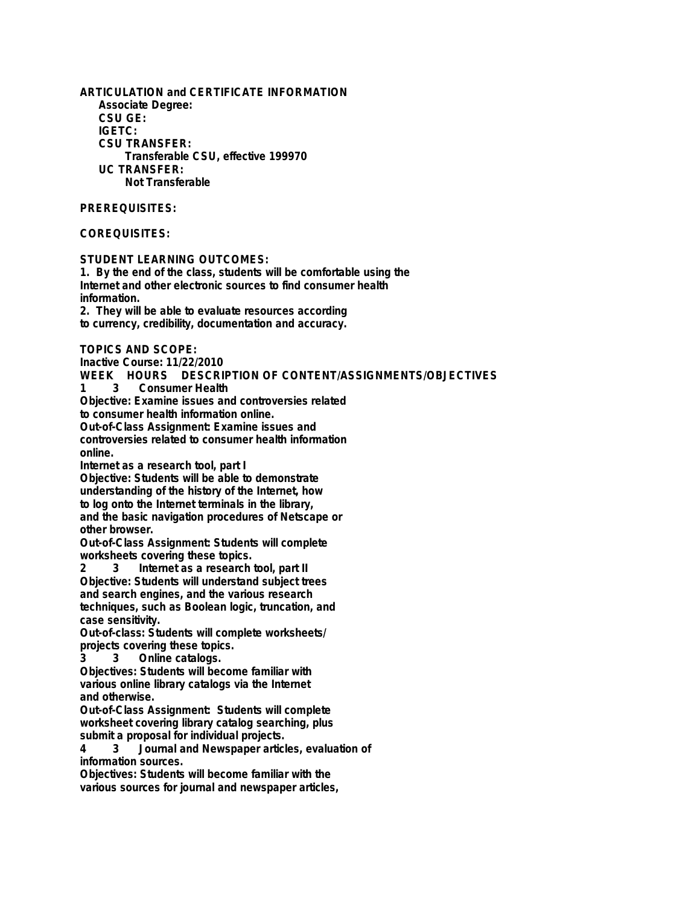**ARTICULATION and CERTIFICATE INFORMATION Associate Degree: CSU GE: IGETC: CSU TRANSFER: Transferable CSU, effective 199970 UC TRANSFER: Not Transferable PREREQUISITES: COREQUISITES: STUDENT LEARNING OUTCOMES: 1. By the end of the class, students will be comfortable using the Internet and other electronic sources to find consumer health information. 2. They will be able to evaluate resources according to currency, credibility, documentation and accuracy. TOPICS AND SCOPE: Inactive Course: 11/22/2010 WEEK HOURS DESCRIPTION OF CONTENT/ASSIGNMENTS/OBJECTIVES 1 3 Consumer Health Objective: Examine issues and controversies related to consumer health information online. Out-of-Class Assignment: Examine issues and controversies related to consumer health information online. Internet as a research tool, part I Objective: Students will be able to demonstrate understanding of the history of the Internet, how to log onto the Internet terminals in the library, and the basic navigation procedures of Netscape or other browser. Out-of-Class Assignment: Students will complete worksheets covering these topics. 2 3 Internet as a research tool, part II Objective: Students will understand subject trees and search engines, and the various research techniques, such as Boolean logic, truncation, and case sensitivity. Out-of-class: Students will complete worksheets/ projects covering these topics. 3 3 Online catalogs. Objectives: Students will become familiar with various online library catalogs via the Internet and otherwise. Out-of-Class Assignment: Students will complete worksheet covering library catalog searching, plus submit a proposal for individual projects. 4 3 Journal and Newspaper articles, evaluation of information sources. Objectives: Students will become familiar with the various sources for journal and newspaper articles,**